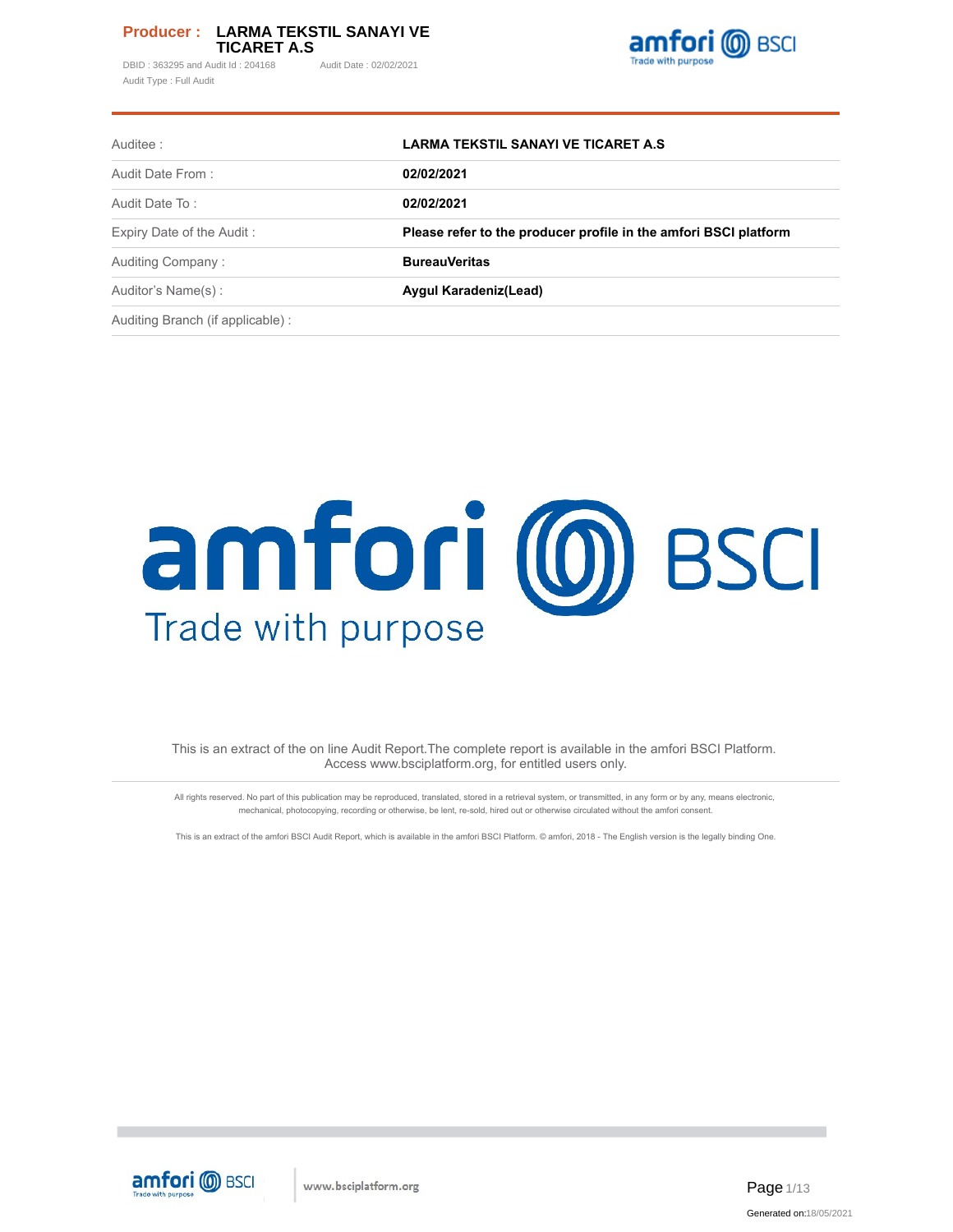DBID: 363295 and Audit Id: 204168 Audit Date: 02/02/2021 Audit Type : Full Audit



| Auditee :                         | LARMA TEKSTIL SANAYI VE TICARET A.S.                             |
|-----------------------------------|------------------------------------------------------------------|
| Audit Date From:                  | 02/02/2021                                                       |
| Audit Date To:                    | 02/02/2021                                                       |
| Expiry Date of the Audit:         | Please refer to the producer profile in the amfori BSCI platform |
| Auditing Company:                 | <b>BureauVeritas</b>                                             |
| Auditor's Name(s):                | Aygul Karadeniz (Lead)                                           |
| Auditing Branch (if applicable) : |                                                                  |

# amfori (0) BSCI Trade with purpose

This is an extract of the on line Audit Report.The complete report is available in the amfori BSCI Platform. Access www.bsciplatform.org, for entitled users only.

All rights reserved. No part of this publication may be reproduced, translated, stored in a retrieval system, or transmitted, in any form or by any, means electronic, mechanical, photocopying, recording or otherwise, be lent, re-sold, hired out or otherwise circulated without the amfori consent.

This is an extract of the amfori BSCI Audit Report, which is available in the amfori BSCI Platform. © amfori, 2018 - The English version is the legally binding One.

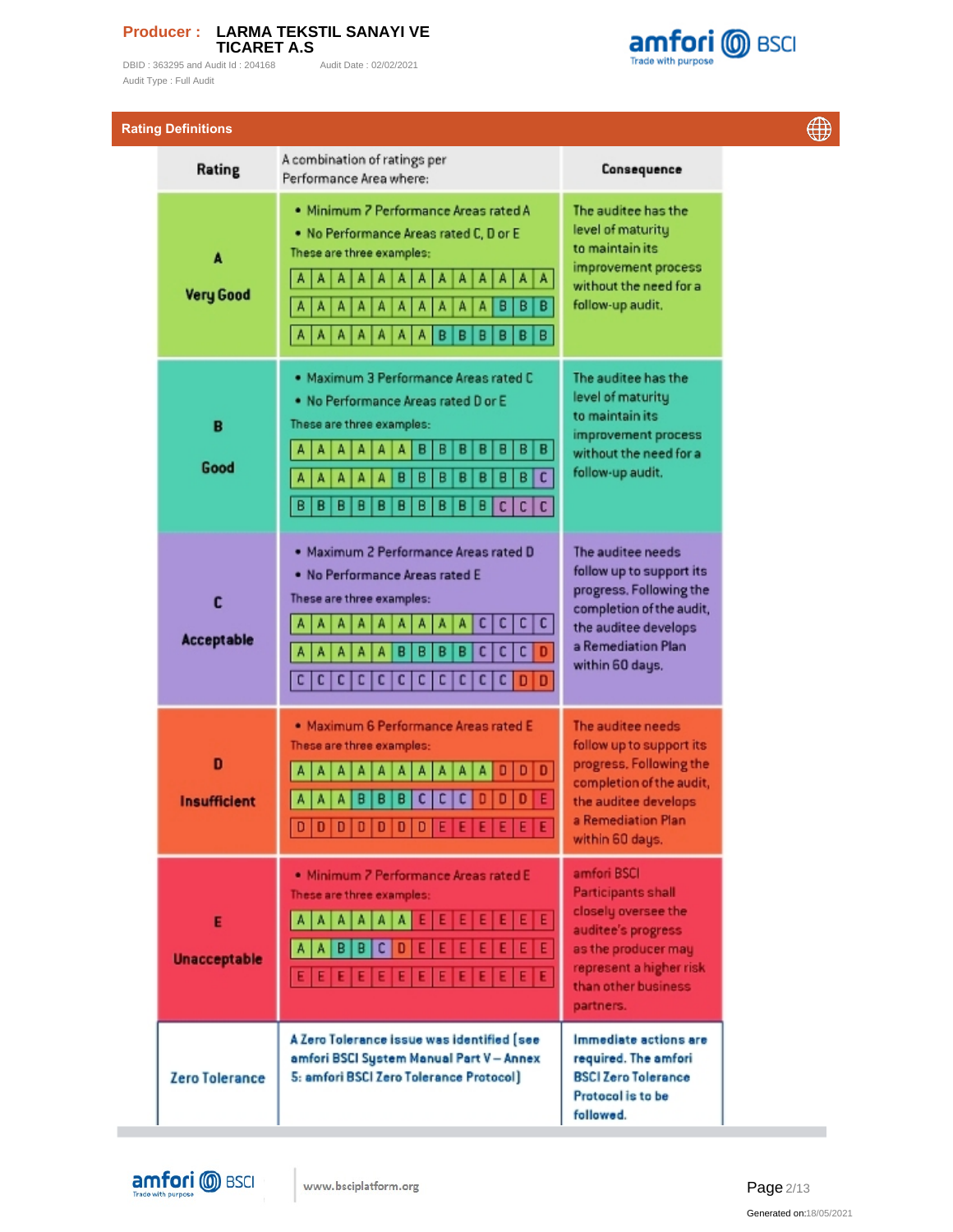DBID : 363295 and Audit Id : 204168 Audit Date : 02/02/2021 Audit Type : Full Audit



| <b>Rating Definitions</b> |                                                                                                                                                                                                                                                                                             |                                                                                                                                                                             | $\oplus$ |
|---------------------------|---------------------------------------------------------------------------------------------------------------------------------------------------------------------------------------------------------------------------------------------------------------------------------------------|-----------------------------------------------------------------------------------------------------------------------------------------------------------------------------|----------|
| Rating                    | A combination of ratings per<br>Performance Area where:                                                                                                                                                                                                                                     | Consequence                                                                                                                                                                 |          |
| A<br><b>Very Good</b>     | · Minimum 7 Performance Areas rated A<br>. No Performance Areas rated C, D or E<br>These are three examples:<br>A<br>A<br>A<br>Α<br>A<br>Α<br>A<br>А<br>А<br>А<br>A<br>A<br>А<br>в<br>в<br>в<br>A<br>A<br>A<br>A<br>Α<br>А<br>А<br>B<br>A<br>A<br>в<br>Β<br>в<br>в<br>Α<br>А<br>Α<br>А<br>в | The auditee has the<br>level of maturity<br>to maintain its<br>improvement process<br>without the need for a<br>follow-up audit.                                            |          |
| B<br>Good                 | . Maximum 3 Performance Areas rated C<br>. No Performance Areas rated D or E<br>These are three examples:<br>в<br>B<br>в<br>B<br>в<br>B<br>в<br>А<br>A<br>А<br>А<br>A<br>с<br>B<br>в<br>в<br>в<br>В<br>B<br>в<br>B<br>в<br>B<br>в<br>В<br>В<br>B<br>В<br>c<br>сI<br>c                       | The auditee has the<br>level of maturity<br>to maintain its<br>improvement process<br>without the need for a<br>follow-up audit.                                            |          |
| c<br><b>Acceptable</b>    | . Maximum 2 Performance Areas rated D<br>. No Performance Areas rated E<br>These are three examples:<br>c  <br>c<br>c<br>c<br>А<br>А<br>с<br>c<br>c<br>B<br>в<br>в<br>в<br>A<br>A<br>Α<br>Α<br>c c<br>c<br>с<br>с<br>c<br>c<br>c<br>с<br>с<br>D<br>l D                                      | The auditee needs<br>follow up to support its<br>progress. Following the<br>completion of the audit,<br>the auditee develops<br>a Remediation Plan<br>within 60 days.       |          |
| D<br><b>Insufficient</b>  | · Maximum 6 Performance Areas rated E<br>These are three examples:<br>D<br>с<br>Е<br>в<br>с<br>D<br>D<br>Đ<br>B<br>в<br>c<br>А<br>А<br>$D   D   D   D   D   D   D   D   E   E   E   E   E   E$                                                                                              | The auditee needs<br>follow up to support its<br>progress. Following the<br>completion of the audit,<br>the auditee develops<br>a Remediation Plan<br>within 60 days.       |          |
| E<br><b>Unacceptable</b>  | . Minimum 7 Performance Areas rated E<br>These are three examples:<br>$E[E]E[E]E[E]E$<br>$A$ $A$ $A$ $A$ $A$ $A$ $A$<br>Е<br>A A B B<br>C  <br>D<br>E<br>Ε<br>Ε<br>E E E E E E <br>Е<br>Ε<br>E<br>ΙE                                                                                        | amfori BSCI<br><b>Participants shall</b><br>closely oversee the<br>auditee's progress<br>as the producer may<br>represent a higher risk<br>than other business<br>partners. |          |
| Zero Tolerance            | A Zero Tolerance issue was identified [see<br>amfori BSCI System Manual Part V - Annex<br>5: amfori BSCI Zero Tolerance Protocol]                                                                                                                                                           | Immediate actions are<br>required. The amfori<br><b>BSCI Zero Tolerance</b><br>Protocol is to be<br>followed.                                                               |          |



**COL** 

Page 2/13 Generated on:18/05/2021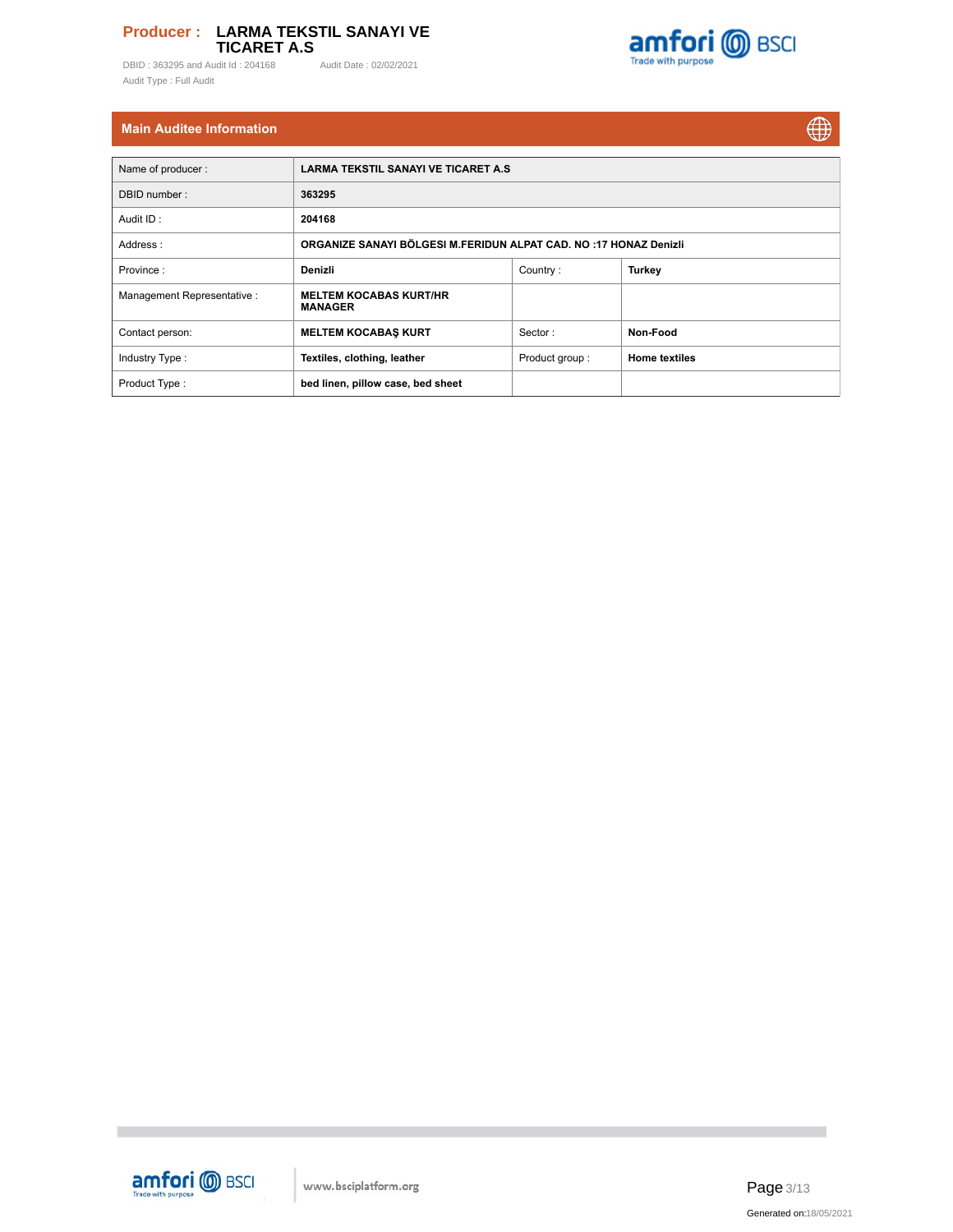DBID : 363295 and Audit Id : 204168 Audit Date : 02/02/2021 Audit Type : Full Audit



# **Main Auditee Information**

 $\bigoplus$ 

| Name of producer:           | <b>LARMA TEKSTIL SANAYI VE TICARET A.S.</b>                       |                |                      |  |  |  |  |  |  |  |
|-----------------------------|-------------------------------------------------------------------|----------------|----------------------|--|--|--|--|--|--|--|
| DBID number:                | 363295                                                            |                |                      |  |  |  |  |  |  |  |
| Audit ID:                   | 204168                                                            |                |                      |  |  |  |  |  |  |  |
| Address:                    | ORGANIZE SANAYI BÖLGESI M.FERIDUN ALPAT CAD. NO :17 HONAZ Denizli |                |                      |  |  |  |  |  |  |  |
| Province:                   | Denizli                                                           | Country:       | <b>Turkey</b>        |  |  |  |  |  |  |  |
| Management Representative : | <b>MELTEM KOCABAS KURT/HR</b><br><b>MANAGER</b>                   |                |                      |  |  |  |  |  |  |  |
| Contact person:             | <b>MELTEM KOCABAS KURT</b>                                        | Sector:        | Non-Food             |  |  |  |  |  |  |  |
| Industry Type:              | Textiles, clothing, leather                                       | Product group: | <b>Home textiles</b> |  |  |  |  |  |  |  |
| Product Type:               | bed linen, pillow case, bed sheet                                 |                |                      |  |  |  |  |  |  |  |



**The State** 

Page 3/13 Generated on:18/05/2021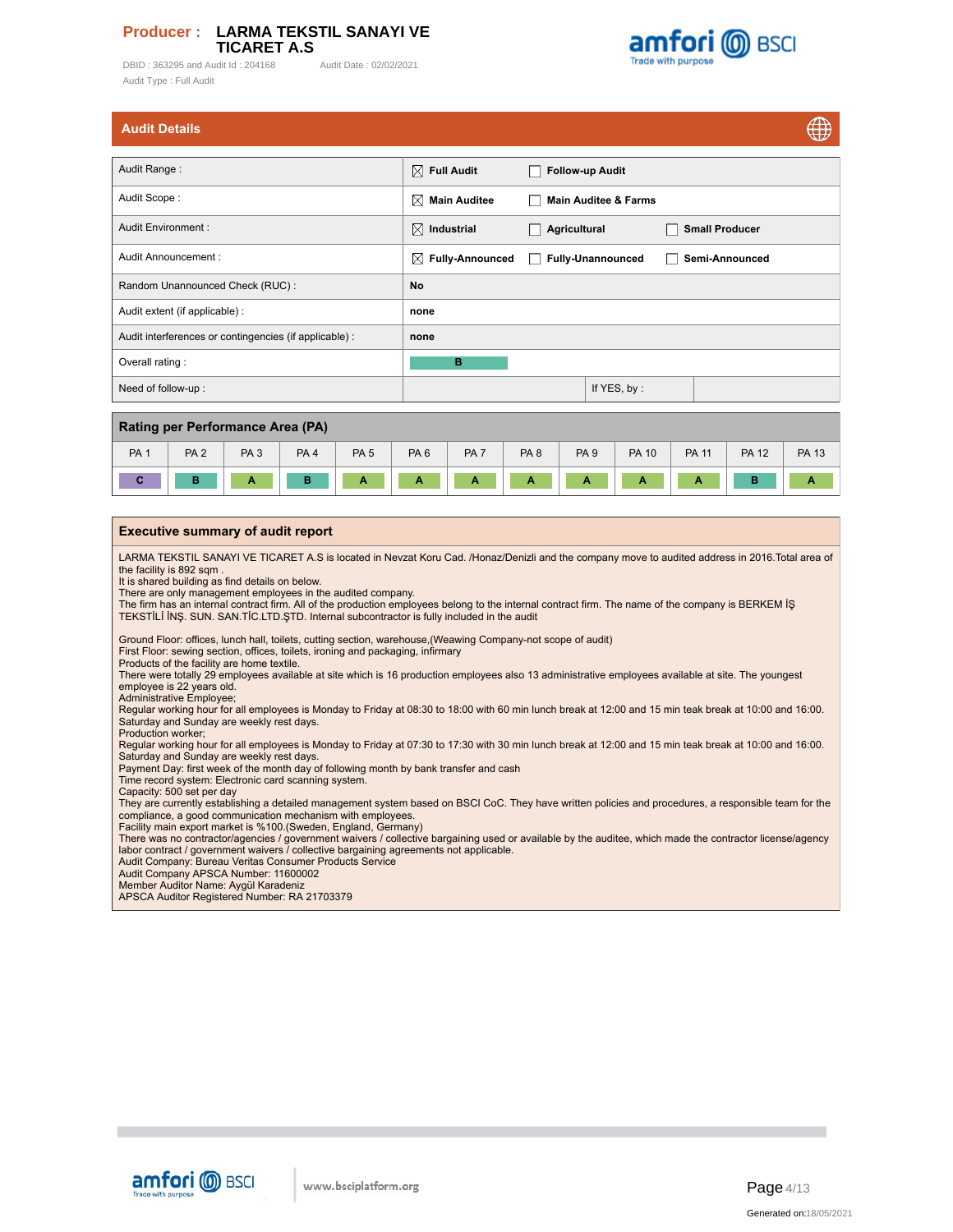DBID: 363295 and Audit Id: 204168 Audit Date: 02/02/2021 Audit Type : Full Audit



 $\sqrt{2}$ 

|  | <b>Audit Details</b> |
|--|----------------------|
|  |                      |

| <b>Audit Details</b>                                   |                             |                                         |                       | ₩ |
|--------------------------------------------------------|-----------------------------|-----------------------------------------|-----------------------|---|
|                                                        |                             |                                         |                       |   |
| Audit Range:                                           | $\boxtimes$ Full Audit      | <b>Follow-up Audit</b><br>$\mathcal{L}$ |                       |   |
| Audit Scope:                                           | ⊠<br><b>Main Auditee</b>    | <b>Main Auditee &amp; Farms</b><br>- 1  |                       |   |
| Audit Environment:                                     | ⊠<br>Industrial             | Agricultural<br>- 1                     | <b>Small Producer</b> |   |
| Audit Announcement:                                    | $\boxtimes$ Fully-Announced | <b>Fully-Unannounced</b><br>×           | Semi-Announced        |   |
| Random Unannounced Check (RUC):                        | No                          |                                         |                       |   |
| Audit extent (if applicable) :                         | none                        |                                         |                       |   |
| Audit interferences or contingencies (if applicable) : | none                        |                                         |                       |   |
| Overall rating:                                        | B                           |                                         |                       |   |
| Need of follow-up:                                     |                             | If YES, by:                             |                       |   |
|                                                        |                             |                                         |                       |   |

| Rating per Performance Area (PA) |                 |                 |                 |                 |                 |                 |                 |                 |              |              |              |              |
|----------------------------------|-----------------|-----------------|-----------------|-----------------|-----------------|-----------------|-----------------|-----------------|--------------|--------------|--------------|--------------|
| PA <sub>1</sub>                  | PA <sub>2</sub> | PA <sub>3</sub> | PA <sub>4</sub> | PA <sub>5</sub> | PA <sub>6</sub> | PA <sub>7</sub> | PA <sub>8</sub> | PA <sub>9</sub> | <b>PA 10</b> | <b>PA 11</b> | <b>PA 12</b> | <b>PA 13</b> |
|                                  | $\blacksquare$  | А               |                 | . .             | А               | A               | . .             |                 | А            | А            |              |              |

#### **Executive summary of audit report**

LARMA TEKSTIL SANAYI VE TICARET A.S is located in Nevzat Koru Cad. /Honaz/Denizli and the company move to audited address in 2016.Total area of the facility is 892 sqm

It is shared building as find details on below.

There are only management employees in the audited company.<br>The firm has an internal contract firm. All of the production employees belong to the internal contract firm. The name of the company is BERKEM İŞ<br>TEKSTİLİ İNŞ. S

Ground Floor: offices, lunch hall, toilets, cutting section, warehouse,(Weawing Company-not scope of audit)

First Floor: sewing section, offices, toilets, ironing and packaging, infirmary

Products of the facility are home textile. There were totally 29 employees available at site which is 16 production employees also 13 administrative employees available at site. The youngest employee is 22 years old.

Administrative Employee;

Regular working hour for all employees is Monday to Friday at 08:30 to 18:00 with 60 min lunch break at 12:00 and 15 min teak break at 10:00 and 16:00. Saturday and Sunday are weekly rest days.

Production worker;

Regular working hour for all employees is Monday to Friday at 07:30 to 17:30 with 30 min lunch break at 12:00 and 15 min teak break at 10:00 and 16:00.<br>Saturday and Sunday are weekly rest days.<br>Payment Day: first week of t

Time record system: Electronic card scanning system. Capacity: 500 set per day

They are currently establishing a detailed management system based on BSCI CoC. They have written policies and procedures, a responsible team for the

compliance, a good communication mechanism with employees. Facility main export market is %100.(Sweden, England, Germany)

There was no contractor/agencies / government waivers / collective bargaining used or available by the auditee, which made the contractor license/agency<br>Iabor contract / government waivers / collective bargaining agreement

Audit Company: Bureau Veritas Consumer Products Service

Audit Company APSCA Number: 11600002

Member Auditor Name: Aygül Karadeniz APSCA Auditor Registered Number: RA 21703379

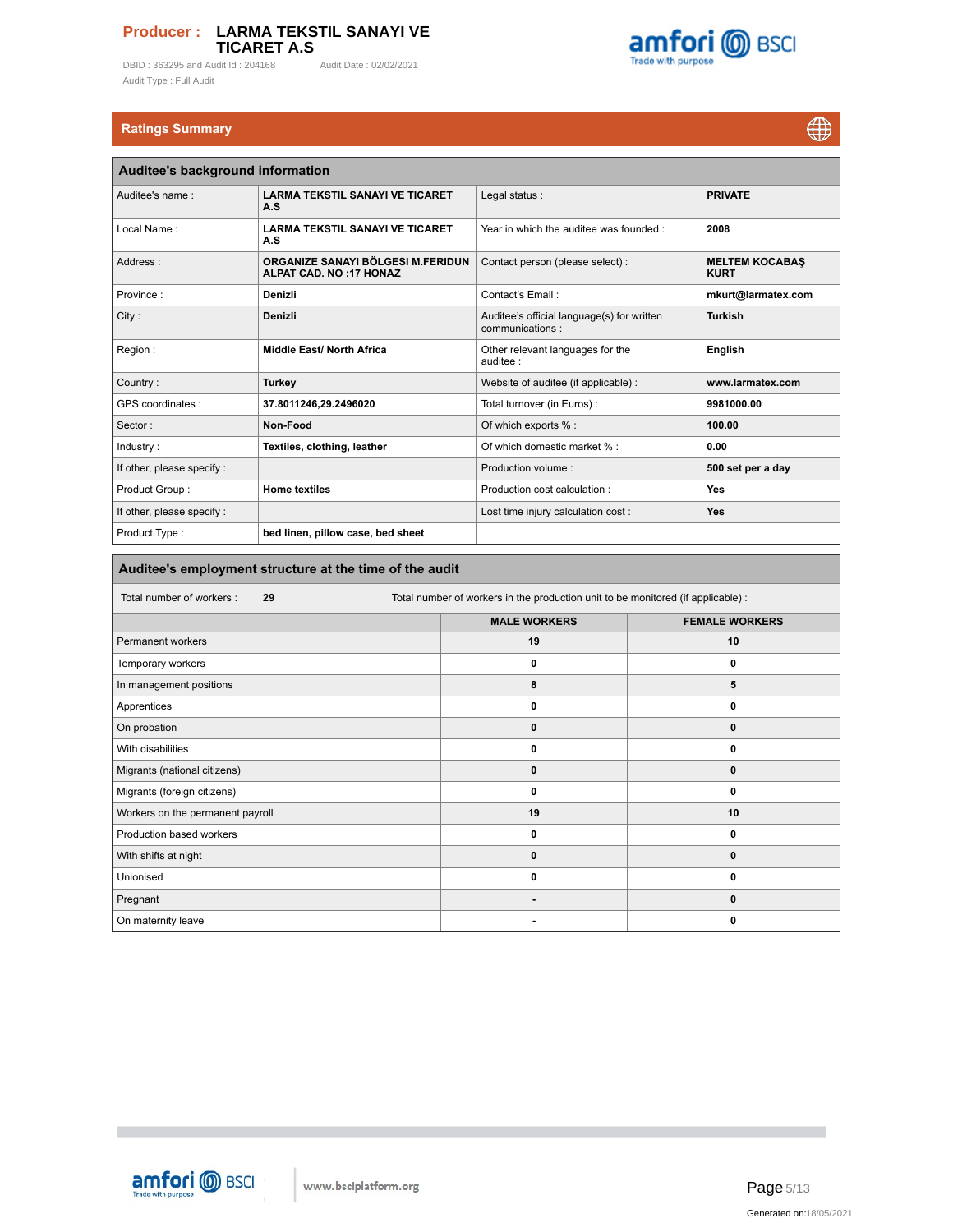DBID : 363295 and Audit Id : 204168 Audit Date : 02/02/2021 Audit Type : Full Audit



# **Ratings Summary**

 $\bigoplus$ 

| Auditee's background information |                                                                    |                                                               |                                      |  |  |  |  |  |  |
|----------------------------------|--------------------------------------------------------------------|---------------------------------------------------------------|--------------------------------------|--|--|--|--|--|--|
| Auditee's name:                  | <b>LARMA TEKSTIL SANAYI VE TICARET</b><br>A.S                      | Legal status:                                                 | <b>PRIVATE</b>                       |  |  |  |  |  |  |
| Local Name:                      | <b>LARMA TEKSTIL SANAYI VE TICARET</b><br>A.S                      | Year in which the auditee was founded:                        | 2008                                 |  |  |  |  |  |  |
| Address:                         | ORGANIZE SANAYI BÖLGESI M.FERIDUN<br><b>ALPAT CAD. NO:17 HONAZ</b> | Contact person (please select) :                              | <b>MELTEM KOCABAS</b><br><b>KURT</b> |  |  |  |  |  |  |
| Province:                        | Denizli                                                            | Contact's Email:                                              | mkurt@larmatex.com                   |  |  |  |  |  |  |
| City:                            | Denizli                                                            | Auditee's official language(s) for written<br>communications: | <b>Turkish</b>                       |  |  |  |  |  |  |
| Region:                          | <b>Middle East/ North Africa</b>                                   | Other relevant languages for the<br>auditee :                 | English                              |  |  |  |  |  |  |
| Country:                         | <b>Turkey</b>                                                      | Website of auditee (if applicable) :                          | www.larmatex.com                     |  |  |  |  |  |  |
| GPS coordinates :                | 37.8011246,29.2496020                                              | Total turnover (in Euros) :                                   | 9981000.00                           |  |  |  |  |  |  |
| Sector:                          | Non-Food                                                           | Of which exports % :                                          | 100.00                               |  |  |  |  |  |  |
| Industry:                        | Textiles, clothing, leather                                        | Of which domestic market % :                                  | 0.00                                 |  |  |  |  |  |  |
| If other, please specify :       |                                                                    | Production volume:                                            | 500 set per a day                    |  |  |  |  |  |  |
| Product Group:                   | <b>Home textiles</b>                                               | Production cost calculation:                                  | Yes                                  |  |  |  |  |  |  |
| If other, please specify:        |                                                                    | Lost time injury calculation cost :                           | Yes                                  |  |  |  |  |  |  |
| Product Type:                    | bed linen, pillow case, bed sheet                                  |                                                               |                                      |  |  |  |  |  |  |

# **Auditee's employment structure at the time of the audit**

| Total number of workers :<br>29  | Total number of workers in the production unit to be monitored (if applicable) : |                       |  |  |  |  |  |  |
|----------------------------------|----------------------------------------------------------------------------------|-----------------------|--|--|--|--|--|--|
|                                  | <b>MALE WORKERS</b>                                                              | <b>FEMALE WORKERS</b> |  |  |  |  |  |  |
| Permanent workers                | 19                                                                               | 10                    |  |  |  |  |  |  |
| Temporary workers                | 0                                                                                | 0                     |  |  |  |  |  |  |
| In management positions          | 8                                                                                | 5                     |  |  |  |  |  |  |
| Apprentices                      | 0                                                                                | 0                     |  |  |  |  |  |  |
| On probation                     | 0                                                                                | 0                     |  |  |  |  |  |  |
| With disabilities                | 0                                                                                | 0                     |  |  |  |  |  |  |
| Migrants (national citizens)     | $\mathbf 0$                                                                      | 0                     |  |  |  |  |  |  |
| Migrants (foreign citizens)      | 0                                                                                | 0                     |  |  |  |  |  |  |
| Workers on the permanent payroll | 19                                                                               | 10                    |  |  |  |  |  |  |
| Production based workers         | 0                                                                                | 0                     |  |  |  |  |  |  |
| With shifts at night             | 0                                                                                | 0                     |  |  |  |  |  |  |
| Unionised                        | 0                                                                                | 0                     |  |  |  |  |  |  |
| Pregnant                         | $\blacksquare$                                                                   | 0                     |  |  |  |  |  |  |
| On maternity leave               |                                                                                  | 0                     |  |  |  |  |  |  |

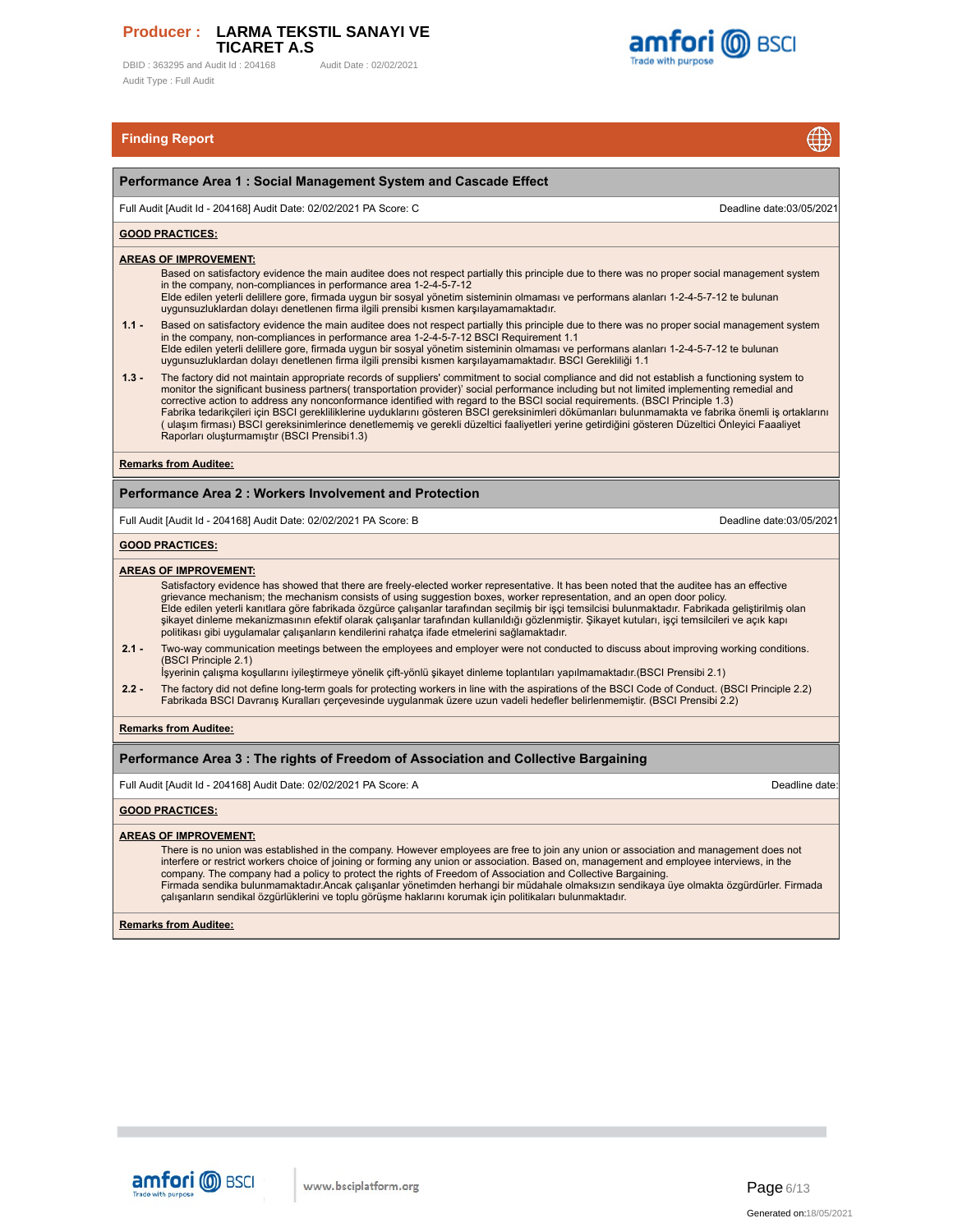DBID : 363295 and Audit Id : 204168 Audit Date : 02/02/2021 Audit Type : Full Audit



 $\bigoplus$ 

# **Finding Report**

|         | $\mathbf{\mathcal{\Psi}}$                                                                                                                                                                                                                                                                                                                                                                                                                                                                                                                                                                                                                                                                                                                                                            |
|---------|--------------------------------------------------------------------------------------------------------------------------------------------------------------------------------------------------------------------------------------------------------------------------------------------------------------------------------------------------------------------------------------------------------------------------------------------------------------------------------------------------------------------------------------------------------------------------------------------------------------------------------------------------------------------------------------------------------------------------------------------------------------------------------------|
|         | Performance Area 1 : Social Management System and Cascade Effect                                                                                                                                                                                                                                                                                                                                                                                                                                                                                                                                                                                                                                                                                                                     |
|         | Full Audit [Audit Id - 204168] Audit Date: 02/02/2021 PA Score: C<br>Deadline date:03/05/2021                                                                                                                                                                                                                                                                                                                                                                                                                                                                                                                                                                                                                                                                                        |
|         | <b>GOOD PRACTICES:</b>                                                                                                                                                                                                                                                                                                                                                                                                                                                                                                                                                                                                                                                                                                                                                               |
|         | <b>AREAS OF IMPROVEMENT:</b><br>Based on satisfactory evidence the main auditee does not respect partially this principle due to there was no proper social management system<br>in the company, non-compliances in performance area 1-2-4-5-7-12<br>Elde edilen yeterli delillere gore, firmada uygun bir sosyal yönetim sisteminin olmaması ve performans alanları 1-2-4-5-7-12 te bulunan<br>uygunsuzluklardan dolayı denetlenen firma ilgili prensibi kısmen karşılayamamaktadır.                                                                                                                                                                                                                                                                                                |
| $1.1 -$ | Based on satisfactory evidence the main auditee does not respect partially this principle due to there was no proper social management system<br>in the company, non-compliances in performance area 1-2-4-5-7-12 BSCI Requirement 1.1<br>Elde edilen yeterli delillere gore, firmada uygun bir sosyal yönetim sisteminin olmaması ve performans alanları 1-2-4-5-7-12 te bulunan<br>uygunsuzluklardan dolayı denetlenen firma ilgili prensibi kısmen karşılayamamaktadır. BSCI Gerekliliği 1.1                                                                                                                                                                                                                                                                                      |
| $1.3 -$ | The factory did not maintain appropriate records of suppliers' commitment to social compliance and did not establish a functioning system to<br>monitor the significant business partners(transportation provider)' social performance including but not limited implementing remedial and<br>corrective action to address any nonconformance identified with regard to the BSCI social requirements. (BSCI Principle 1.3)<br>Fabrika tedarikçileri için BSCI gerekliliklerine uyduklarını gösteren BSCI gereksinimleri dökümanları bulunmamakta ve fabrika önemli iş ortaklarını<br>(ulaşım firması) BSCI gereksinimlerince denetlememiş ve gerekli düzeltici faaliyetleri yerine getirdiğini gösteren Düzeltici Önleyici Faaaliyet<br>Raporları oluşturmamıştır (BSCI Prensibi1.3) |
|         | <b>Remarks from Auditee:</b>                                                                                                                                                                                                                                                                                                                                                                                                                                                                                                                                                                                                                                                                                                                                                         |
|         | <b>Performance Area 2: Workers Involvement and Protection</b>                                                                                                                                                                                                                                                                                                                                                                                                                                                                                                                                                                                                                                                                                                                        |
|         | Full Audit [Audit Id - 204168] Audit Date: 02/02/2021 PA Score: B<br>Deadline date:03/05/2021                                                                                                                                                                                                                                                                                                                                                                                                                                                                                                                                                                                                                                                                                        |
|         | <b>GOOD PRACTICES:</b>                                                                                                                                                                                                                                                                                                                                                                                                                                                                                                                                                                                                                                                                                                                                                               |
|         | <b>AREAS OF IMPROVEMENT:</b><br>Satisfactory evidence has showed that there are freely-elected worker representative. It has been noted that the auditee has an effective<br>grievance mechanism; the mechanism consists of using suggestion boxes, worker representation, and an open door policy.<br>Elde edilen yeterli kanıtlara göre fabrikada özgürce çalışanlar tarafından seçilmiş bir işçi temsilcisi bulunmaktadır. Fabrikada geliştirilmiş olan<br>şikayet dinleme mekanizmasının efektif olarak çalışanlar tarafından kullanıldığı gözlenmiştir. Şikayet kutuları, işçi temsilcileri ve açık kapı<br>politikası gibi uygulamalar çalışanların kendilerini rahatça ifade etmelerini sağlamaktadır.                                                                        |
| $2.1 -$ | Two-way communication meetings between the employees and employer were not conducted to discuss about improving working conditions.<br>(BSCI Principle 2.1)<br>İşyerinin çalışma koşullarını iyileştirmeye yönelik çift-yönlü şikayet dinleme toplantıları yapılmamaktadır.(BSCI Prensibi 2.1)                                                                                                                                                                                                                                                                                                                                                                                                                                                                                       |
| $2.2 -$ | The factory did not define long-term goals for protecting workers in line with the aspirations of the BSCI Code of Conduct. (BSCI Principle 2.2)<br>Fabrikada BSCI Davranış Kuralları çerçevesinde uygulanmak üzere uzun vadeli hedefler belirlenmemiştir. (BSCI Prensibi 2.2)                                                                                                                                                                                                                                                                                                                                                                                                                                                                                                       |
|         | <b>Remarks from Auditee:</b>                                                                                                                                                                                                                                                                                                                                                                                                                                                                                                                                                                                                                                                                                                                                                         |
|         | Performance Area 3 : The rights of Freedom of Association and Collective Bargaining                                                                                                                                                                                                                                                                                                                                                                                                                                                                                                                                                                                                                                                                                                  |
|         | Deadline date:<br>Full Audit [Audit Id - 204168] Audit Date: 02/02/2021 PA Score: A                                                                                                                                                                                                                                                                                                                                                                                                                                                                                                                                                                                                                                                                                                  |
|         | <b>GOOD PRACTICES:</b>                                                                                                                                                                                                                                                                                                                                                                                                                                                                                                                                                                                                                                                                                                                                                               |
|         | <b>AREAS OF IMPROVEMENT:</b><br>There is no union was established in the company. However employees are free to join any union or association and management does not<br>interfere or restrict workers choice of joining or forming any union or association. Based on, management and employee interviews, in the<br>company. The company had a policy to protect the rights of Freedom of Association and Collective Bargaining.<br>Firmada sendika bulunmamaktadır.Ancak çalışanlar yönetimden herhangi bir müdahale olmaksızın sendikaya üye olmakta özgürdürler. Firmada<br>calışanların sendikal özgürlüklerini ve toplu görüşme haklarını korumak için politikaları bulunmaktadır.                                                                                            |

**Remarks from Auditee:**



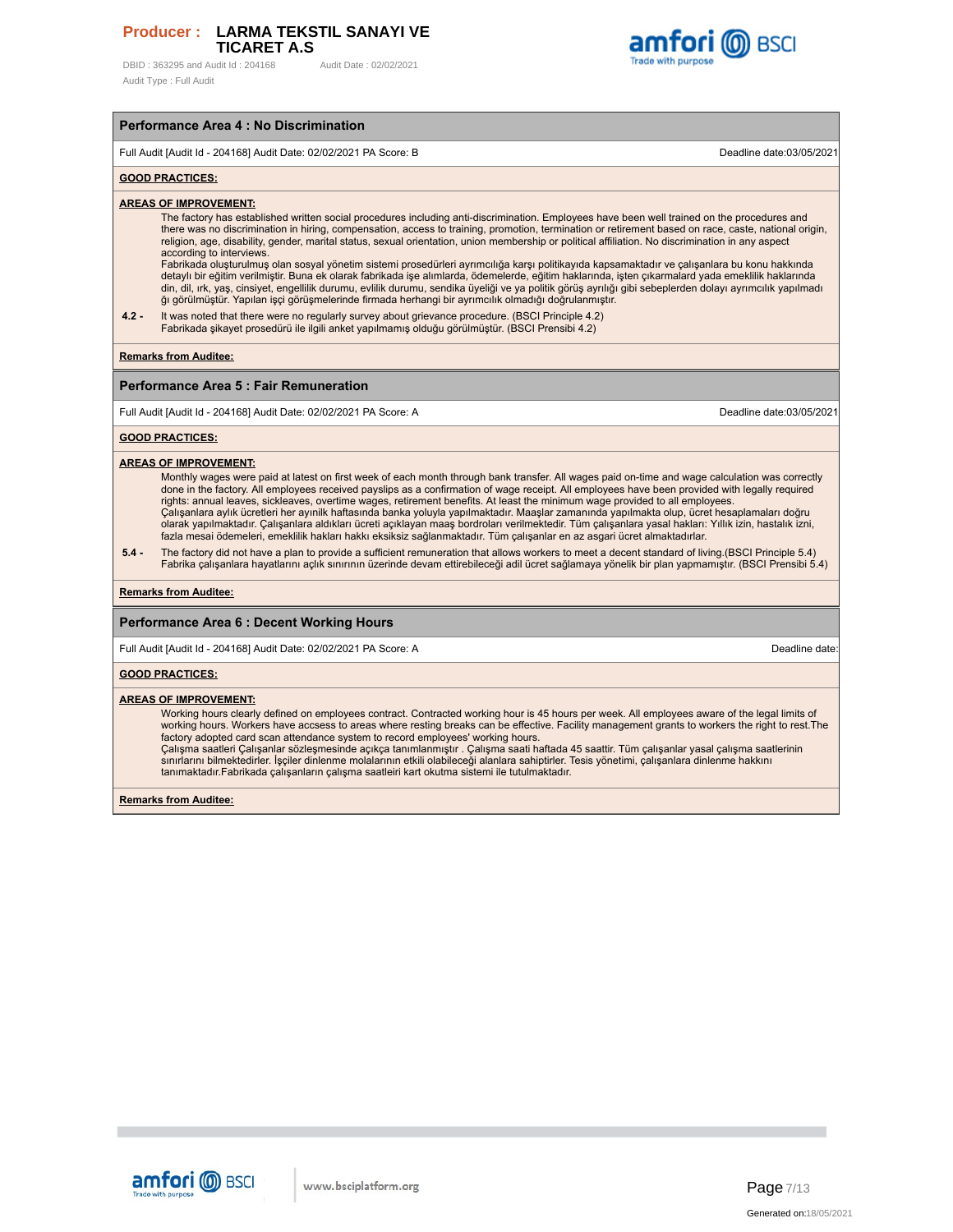DBID: 363295 and Audit Id: 204168 Audit Date: 02/02/2021 Audit Type : Full Audit



# Full Audit [Audit Id - 204168] Audit Date: 02/02/2021 PA Score: B Deadline date:03/05/2021

**Performance Area 4 : No Discrimination**

#### **GOOD PRACTICES:**

**AREAS OF IMPROVEMENT:**

The factory has established written social procedures including anti-discrimination. Employees have been well trained on the procedures and there was no discrimination in hiring, compensation, access to training, promotion, termination or retirement based on race, caste, national origin, religion, age, disability, gender, marital status, sexual orientation, union membership or political affiliation. No discrimination in any aspect according to interviews.

Fabrikada oluşturulmuş olan sosyal yönetim sistemi prosedürleri ayrımcılığa karşı politikayıda kapsamaktadır ve çalışanlara bu konu hakkında<br>detaylı bir eğitim verilmiştir. Buna ek olarak fabrikada işe alımlarda, ödemelerd din, dil, ırk, yaş, cinsiyet, engellilik durumu, evlilik durumu, sendika üyeliği ve ya politik görüş ayrılığı gibi sebeplerden dolayı ayrımcılık yapılmadı ğı görülmüştür. Yapılan işçi görüşmelerinde firmada herhangi bir ayrımcılık olmadığı doğrulanmıştır.

**4.2 -** It was noted that there were no regularly survey about grievance procedure. (BSCI Principle 4.2) Fabrikada şikayet prosedürü ile ilgili anket yapılmamış olduğu görülmüştür. (BSCI Prensibi 4.2)

**Remarks from Auditee:**

#### **Performance Area 5 : Fair Remuneration**

Full Audit [Audit Id - 204168] Audit Date: 02/02/2021 PA Score: A Deadline date:03/05/2021 PA Score: A

#### **GOOD PRACTICES:**

#### **AREAS OF IMPROVEMENT:**

Monthly wages were paid at latest on first week of each month through bank transfer. All wages paid on-time and wage calculation was correctly<br>done in the factory. All employees received payslips as a confirmation of wage rights: annual leaves, sickleaves, overtime wages, retirement benefits. At least the minimum wage provided to all employees. Çalışanlara aylık ücretleri her ayınilk haftasında banka yoluyla yapılmaktadır. Maaşlar zamanında yapılmakta olup, ücret hesaplamaları doğru olarak yapılmaktadır. Çalışanlara aldıkları ücreti açıklayan maaş bordroları verilmektedir. Tüm çalışanlara yasal hakları: Yıllık izin, hastalık izni, fazla mesai ödemeleri, emeklilik hakları hakkı eksiksiz sağlanmaktadır. Tüm çalışanlar en az asgari ücret almaktadırlar.

**5.4 -** The factory did not have a plan to provide a sufficient remuneration that allows workers to meet a decent standard of living.(BSCI Principle 5.4) Fabrika çalışanlara hayatlarını açlık sınırının üzerinde devam ettirebileceği adil ücret sağlamaya yönelik bir plan yapmamıştır. (BSCI Prensibi 5.4)

#### **Remarks from Auditee:**

#### **Performance Area 6 : Decent Working Hours**

Full Audit [Audit Id - 204168] Audit Date: 02/02/2021 PA Score: A Deadline date:

**GOOD PRACTICES:**

#### **AREAS OF IMPROVEMENT:**

Working hours clearly defined on employees contract. Contracted working hour is 45 hours per week. All employees aware of the legal limits of working hours. Workers have accsess to areas where resting breaks can be effective. Facility management grants to workers the right to rest.The

factory adopted card scan attendance system to record employees' working hours.<br>Çalışma saatleri Çalışanlar sözleşmesinde açıkça tanımlanmıştır . Çalışma saati haftada 45 saattir. Tüm çalışanlar yasal çalışma saatlerinin<br>s tanımaktadır.Fabrikada çalışanların çalışma saatleiri kart okutma sistemi ile tutulmaktadır.

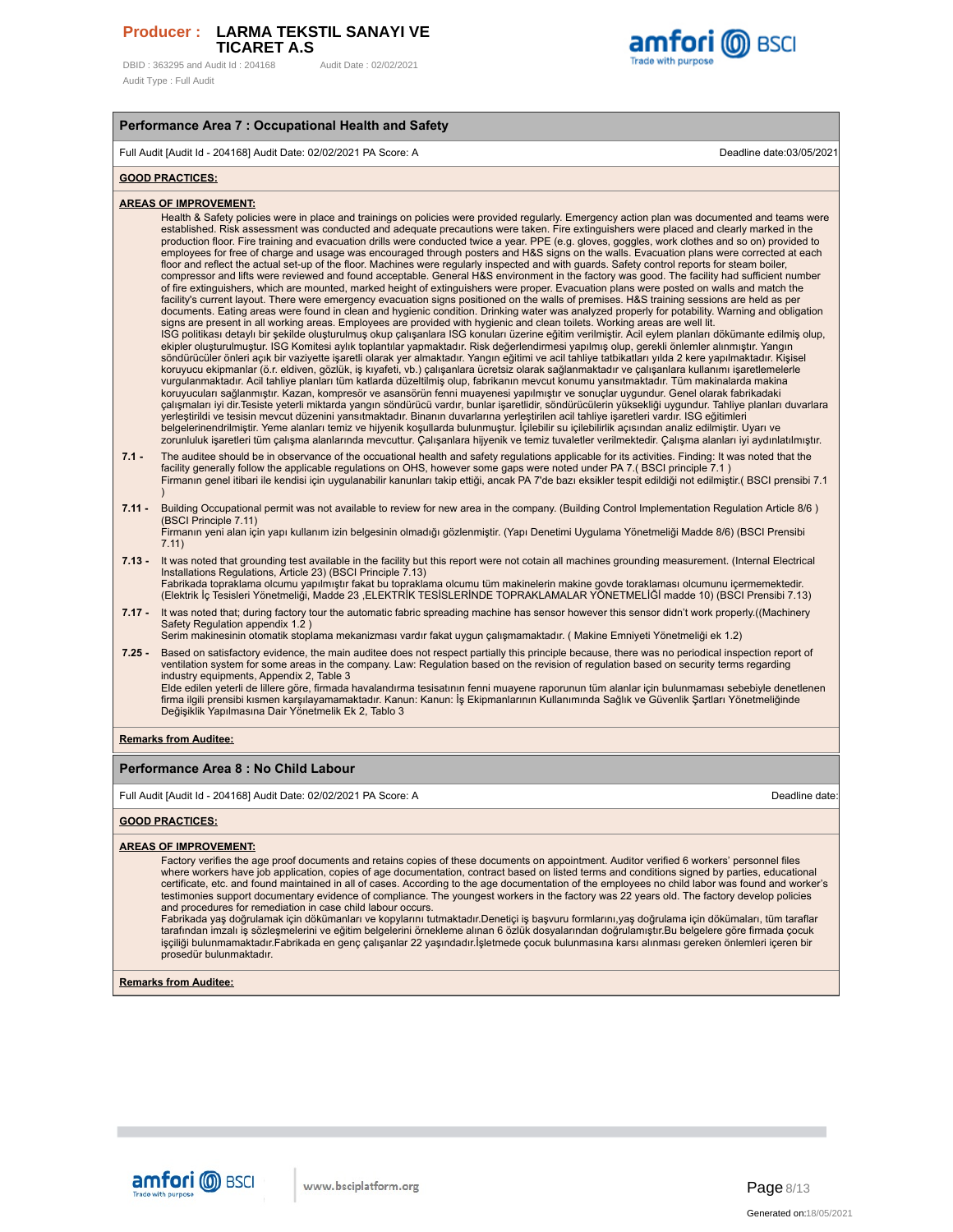DBID: 363295 and Audit Id: 204168 Audit Date: 02/02/2021 Audit Type : Full Audit



#### **Performance Area 7 : Occupational Health and Safety**

Full Audit [Audit Id - 204168] Audit Date: 02/02/2021 PA Score: A Deadline date:03/05/2021

#### **GOOD PRACTICES:**

#### **AREAS OF IMPROVEMENT:**

Health & Safety policies were in place and trainings on policies were provided regularly. Emergency action plan was documented and teams were established. Risk assessment was conducted and adequate precautions were taken. Fire extinguishers were placed and clearly marked in the production floor. Fire training and evacuation drills were conducted twice a year. PPE (e.g. gloves, goggles, work clothes and so on) provided to employees for free of charge and usage was encouraged through posters and H&S signs on the walls. Evacuation plans were corrected at each floor and reflect the actual set-up of the floor. Machines were regularly inspected and with guards. Safety control reports for steam boiler,<br>compressor and lifts were reviewed and found acceptable. General H&S environment of fire extinguishers, which are mounted, marked height of extinguishers were proper. Evacuation plans were posted on walls and match the facility's current layout. There were emergency evacuation signs positioned on the walls of premises. H&S training sessions are held as per documents. Eating areas were found in clean and hygienic condition. Drinking water was analyzed properly for potability. Warning and obligation signs are present in all working areas. Employees are provided with hygienic and clean toilets. Working areas are well lit. ISG politikası detaylı bir şekilde oluşturulmuş okup çalışanlara ISG konuları üzerine eğitim verilmiştir. Acil eylem planları dökümante edilmiş olup,<br>ekipler oluşturulmuştur. ISG Komitesi aylık toplantılar yapmaktadır. Ris koruyucu ekipmanlar (ö.r. eldiven, gözlük, iş kıyafeti, vb.) çalışanlara ücretsiz olarak sağlanmaktadır ve çalışanlara kullanımı işaretlemelerle vurgulanmaktadır. Acil tahliye planları tüm katlarda düzeltilmiş olup, fabrikanın mevcut konumu yansıtmaktadır. Tüm makinalarda makina koruyucuları sağlanmıştır. Kazan, kompresör ve asansörün fenni muayenesi yapılmıştır ve sonuçlar uygundur. Genel olarak fabrikadaki çalışmaları iyi dir.Tesiste yeterli miktarda yangın söndürücü vardır, bunlar işaretlidir, söndürücülerin yüksekliği uygundur. Tahliye planları duvarlara<br>yerleştirildi ve tesisin mevcut düzenini yansıtmaktadır. Binanın duva belgelerinendrilmiştir. Yeme alanları temiz ve hijyenik koşullarda bulunmuştur. İçilebilir a içilebilirlik açısından analiz edilmiştir. Uyarı ve<br>zorunluluk işaretleri tüm çalışma alanlarında mevcuttur. Çalışanlara hijyenik

- **7.1 -** The auditee should be in observance of the occuational health and safety regulations applicable for its activities. Finding: It was noted that the facility generally follow the applicable regulations on OHS, however some gaps were noted under PA 7.( BSCI principle 7.1 )<br>Firmanın genel itibari ile kendisi için uygulanabilir kanunları takip ettiği, ancak PA 7'de bazı e )
- **7.11 -** Building Occupational permit was not available to review for new area in the company. (Building Control Implementation Regulation Article 8/6 ) (BSCI Principle 7.11)
	- Firmanın yeni alan için yapı kullanım izin belgesinin olmadığı gözlenmiştir. (Yapı Denetimi Uygulama Yönetmeliği Madde 8/6) (BSCI Prensibi 7.11)
- **7.13 -** It was noted that grounding test available in the facility but this report were not cotain all machines grounding measurement. (Internal Electrical Installations Regulations, Article 23) (BSCI Principle 7.13)
- Fabrikada topraklama olcumu yapılmıştır fakat bu topraklama olcumu tüm makinelerin makine govde toraklaması olcumunu içermemektedir.<br>(Elektrik İç Tesisleri Yönetmeliği, Madde 23 ,ELEKTRİK TESİSLERİNDE TOPRAKLAMALAR YÖNETME
- **7.17 -** It was noted that; during factory tour the automatic fabric spreading machine has sensor however this sensor didn't work properly.((Machinery Safety Regulation appendix 1.2) Serim makinesinin otomatik stoplama mekanizması vardır fakat uygun çalışmamaktadır. ( Makine Emniyeti Yönetmeliği ek 1.2)
- **7.25 -** Based on satisfactory evidence, the main auditee does not respect partially this principle because, there was no periodical inspection report of ventilation system for some areas in the company. Law: Regulation based on the revision of regulation based on security terms regarding industry equipments, Appendix 2, Table 3 Elde edilen yeterli de lillere göre, firmada havalandırma tesisatının fenni muayene raporunun tüm alanlar için bulunmaması sebebiyle denetlenen

firma ilgili prensibi kısmen karşılayamamaktadır. Kanun: Kanun: İş Ekipmanlarının Kullanımında Sağlık ve Güvenlik Şartları Yönetmeliğinde<br>Değişiklik Yapılmasına Dair Yönetmelik Ek 2, Tablo 3

#### **Remarks from Auditee:**

#### **Performance Area 8 : No Child Labour**

Full Audit [Audit Id - 204168] Audit Date: 02/02/2021 PA Score: A Deadline date:

#### **GOOD PRACTICES:**

#### **AREAS OF IMPROVEMENT:**

Factory verifies the age proof documents and retains copies of these documents on appointment. Auditor verified 6 workers' personnel files where workers have job application, copies of age documentation, contract based on listed terms and conditions signed by parties, educational<br>certificate, etc. and found maintained in all of cases. According to the age doc testimonies support documentary evidence of compliance. The youngest workers in the factory was 22 years old. The factory develop policies and procedures for remediation in case child labour occurs.

Fabrikada yaş doğrulamak için dökümanları ve kopylarını tutmaktadır.Denetiçi iş başvuru formlarını,yaş doğrulama için dökümaları, tüm taraflar tarafından imzalı iş sözleşmelerini ve eğitim belgelerini örnekleme alınan 6 özlük dosyalarından doğrulamıştır.Bu belgelere göre firmada çocuk işçiliği bulunmamaktadır.Fabrikada en genç çalışanlar 22 yaşındadır.İşletmede çocuk bulunmasına karsı alınması gereken önlemleri içeren bir prosedür bulunmaktadır.

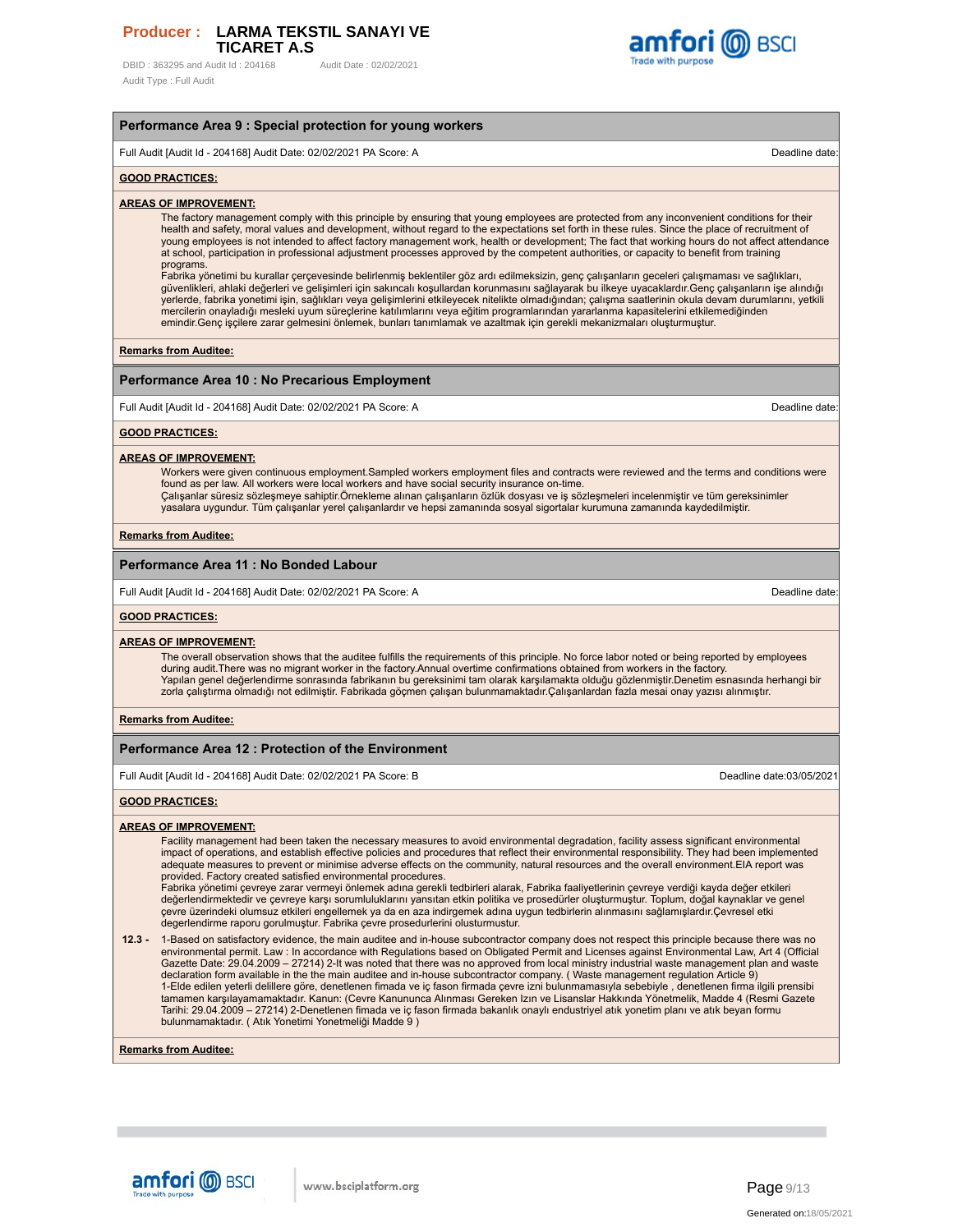DBID: 363295 and Audit Id: 204168 Audit Date: 02/02/2021 Audit Type : Full Audit



# **Performance Area 9 : Special protection for young workers** Full Audit [Audit Id - 204168] Audit Date: 02/02/2021 PA Score: A Deadline date: **GOOD PRACTICES: AREAS OF IMPROVEMENT:** The factory management comply with this principle by ensuring that young employees are protected from any inconvenient conditions for their health and safety, moral values and development, without regard to the expectations set forth in these rules. Since the place of recruitment of young employees is not intended to affect factory management work, health or development; The fact that working hours do not affect attendance at school, participation in professional adjustment processes approved by the competent authorities, or capacity to benefit from training programs. Fabrika yönetimi bu kurallar çerçevesinde belirlenmiş beklentiler göz ardı edilmeksizin, genç çalışanların geceleri çalışmaması ve sağlıkları,<br>güvenlikleri, ahlaki değerleri ve gelişimleri için sakıncalı koşullardan korunm yerlerde, fabrika yonetimi işin, sağlıkları veya gelişimlerini etkileyecek nitelikte olmadığından; çalışma saatlerinin okula devam durumlarını, yetkili mercilerin onayladığı mesleki uyum süreçlerine katılımlarını veya eğitim programlarından yararlanma kapasitelerini etkilemediğinden emindir.Genç işçilere zarar gelmesini önlemek, bunları tanımlamak ve azaltmak için gerekli mekanizmaları oluşturmuştur. **Remarks from Auditee: Performance Area 10 : No Precarious Employment** Full Audit [Audit Id - 204168] Audit Date: 02/02/2021 PA Score: A Deadline date: **GOOD PRACTICES: AREAS OF IMPROVEMENT:** Workers were given continuous employment.Sampled workers employment files and contracts were reviewed and the terms and conditions were found as per law. All workers were local workers and have social security insurance on-time. Çalışanlar süresiz sözleşmeye sahiptir.Örnekleme alınan çalışanların özlük dosyası ve iş sözleşmeleri incelenmiştir ve tüm gereksinimler yasalara uygundur. Tüm çalışanlar yerel çalışanlardır ve hepsi zamanında sosyal sigortalar kurumuna zamanında kaydedilmiştir. **Remarks from Auditee: Performance Area 11 : No Bonded Labour** Full Audit [Audit Id - 204168] Audit Date: 02/02/2021 PA Score: A Deadline date: **GOOD PRACTICES: AREAS OF IMPROVEMENT:** The overall observation shows that the auditee fulfills the requirements of this principle. No force labor noted or being reported by employees<br>during audit.There was no migrant worker in the factory.Annual overtime confir Yapılan genel değerlendirme sonrasında fabrikanın bu gereksinimi tam olarak karşılamakta olduğu gözlenmiştir.Denetim esnasında herhangi bir zorla çalıştırma olmadığı not edilmiştir. Fabrikada göçmen çalışan bulunmamaktadır.Çalışanlardan fazla mesai onay yazısı alınmıştır. **Remarks from Auditee: Performance Area 12 : Protection of the Environment** Full Audit [Audit Id - 204168] Audit Date: 02/02/2021 PA Score: B Deadline date:03/05/2021 **GOOD PRACTICES: AREAS OF IMPROVEMENT:** Facility management had been taken the necessary measures to avoid environmental degradation, facility assess significant environmental impact of operations, and establish effective policies and procedures that reflect their environmental responsibility. They had been implemented adequate measures to prevent or minimise adverse effects on the community, natural resources and the overall environment.EIA report was provided. Factory created satisfied environmental procedures. Fabrika yönetimi çevreye zarar vermeyi önlemek adına gerekli tedbirleri alarak, Fabrika faaliyetlerinin çevreye verdiği kayda değer etkileri değerlendirmektedir ve çevreye karşı sorumluluklarını yansıtan etkin politika ve prosedürler oluşturmuştur. Toplum, doğal kaynaklar ve genel çevre üzerindeki olumsuz etkileri engellemek ya da en aza indirgemek adına uygun tedbirlerin alınmasını sağlamışlardır.Çevresel etki degerlendirme raporu gorulmuştur. Fabrika çevre prosedurlerini olusturmustur. **12.3 -** 1-Based on satisfactory evidence, the main auditee and in-house subcontractor company does not respect this principle because there was no environmental permit. Law : In accordance with Regulations based on Obligated Permit and Licenses against Environmental Law, Art 4 (Official Gazette Date: 29.04.2009 – 27214) 2-It was noted that there was no approved from local ministry industrial waste management plan and waste declaration form available in the the main auditee and in-house subcontractor company. ( Waste management regulation Article 9)<br>1-Elde edilen yeterli delillere göre, denetlenen fimada ve iç fason firmada çevre izni bulunma Tarihi: 29.04.2009 – 27214) 2-Denetlenen fimada ve iç fason firmada bakanlık onaylı endustriyel atık yonetim planı ve atık beyan formu bulunmamaktadır. ( Atık Yonetimi Yonetmeliği Madde 9)

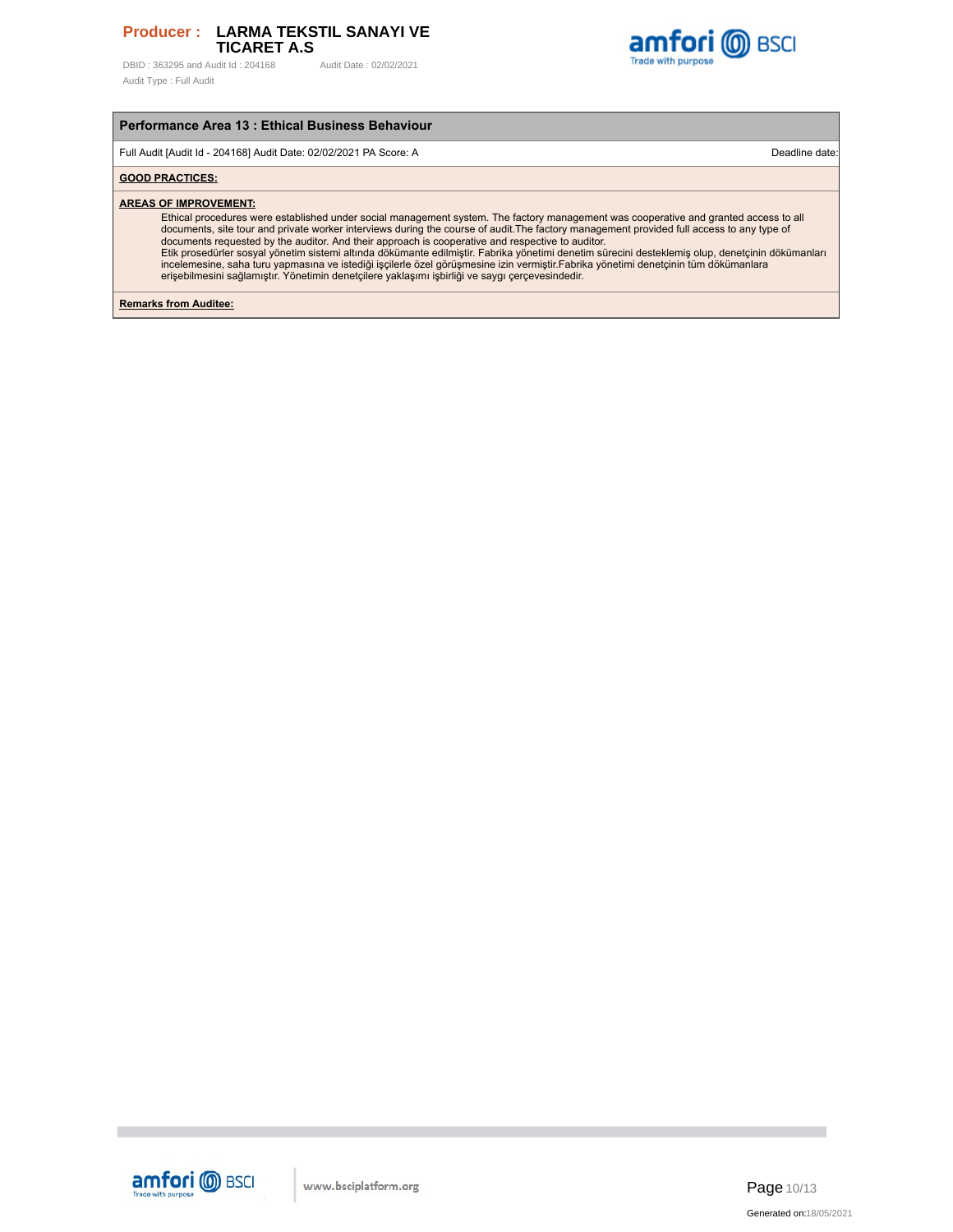DBID: 363295 and Audit Id: 204168 Audit Date: 02/02/2021 Audit Type : Full Audit



# **Performance Area 13 : Ethical Business Behaviour**

Full Audit [Audit Id - 204168] Audit Date: 02/02/2021 PA Score: A Deadline date:

### **GOOD PRACTICES:**

#### **AREAS OF IMPROVEMENT:**

Ethical procedures were established under social management system. The factory management was cooperative and granted access to all<br>documents, site tour and private worker interviews during the course of audit.The factory documents requested by the auditor. And their approach is cooperative and respective to auditor.<br>Etik prosedürler sosyal yönetim sistemi altında dökümante edilmiştir. Fabrika yönetimi denetim sürecini desteklemiş olup, den

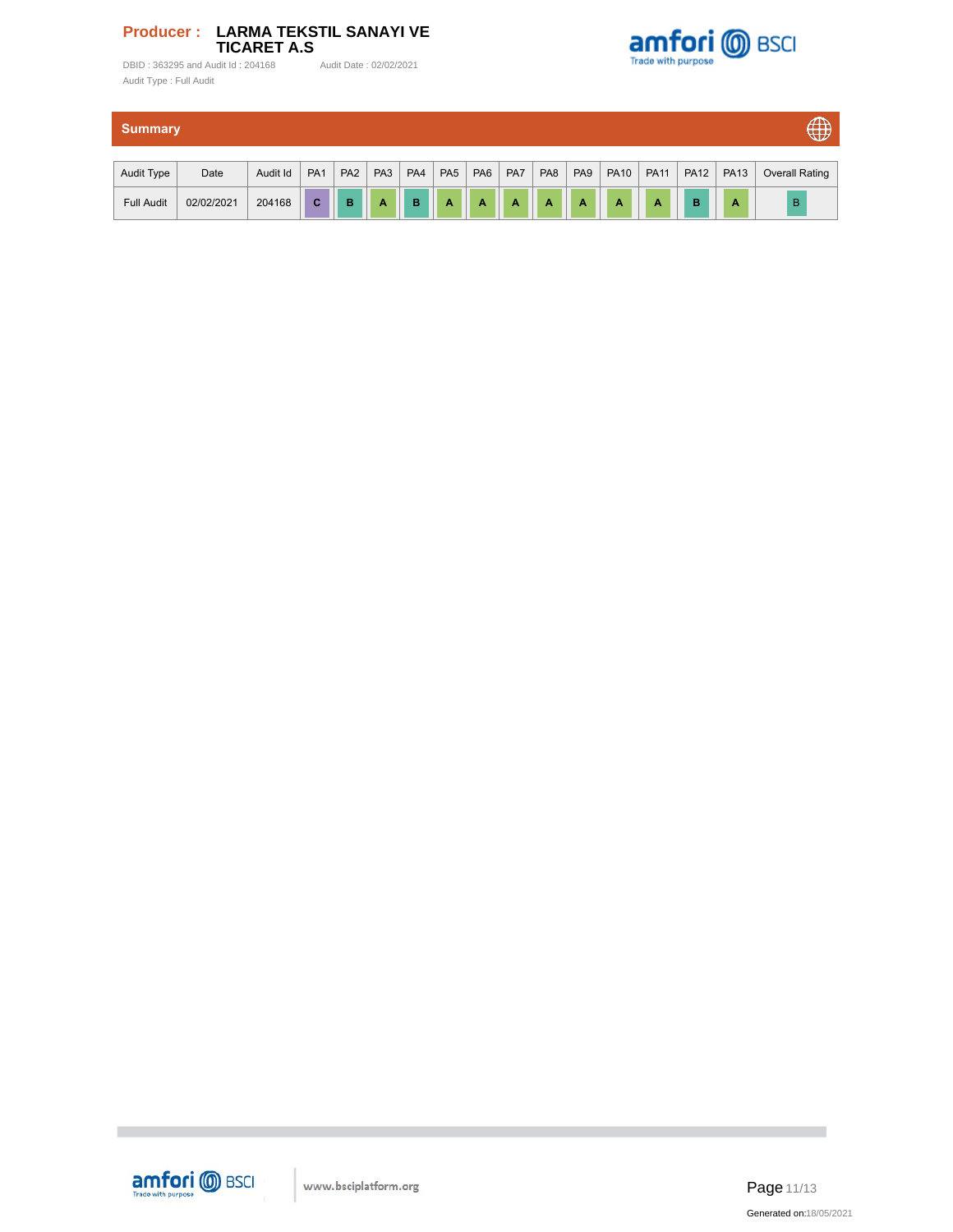DBID : 363295 and Audit Id : 204168 Audit Date : 02/02/2021 Audit Type : Full Audit



| <b>Summary</b>    |            |          |                 |                 |                 |     |                 |                 |                |                 | $\oplus$        |             |             |             |             |                       |
|-------------------|------------|----------|-----------------|-----------------|-----------------|-----|-----------------|-----------------|----------------|-----------------|-----------------|-------------|-------------|-------------|-------------|-----------------------|
| Audit Type        | Date       | Audit Id | PA <sub>1</sub> | PA <sub>2</sub> | PA <sub>3</sub> | PA4 | PA <sub>5</sub> | PA <sub>6</sub> | PA7            | PA <sub>8</sub> | PA <sub>9</sub> | <b>PA10</b> | <b>PA11</b> | <b>PA12</b> | <b>PA13</b> | <b>Overall Rating</b> |
| <b>Full Audit</b> | 02/02/2021 | 204168   | C               | B               | $\mathbf{A}$    | B   | $\overline{A}$  | A               | $\overline{A}$ | $\overline{A}$  | $\overline{A}$  | A           | A           | в           | A           | $\overline{B}$        |



п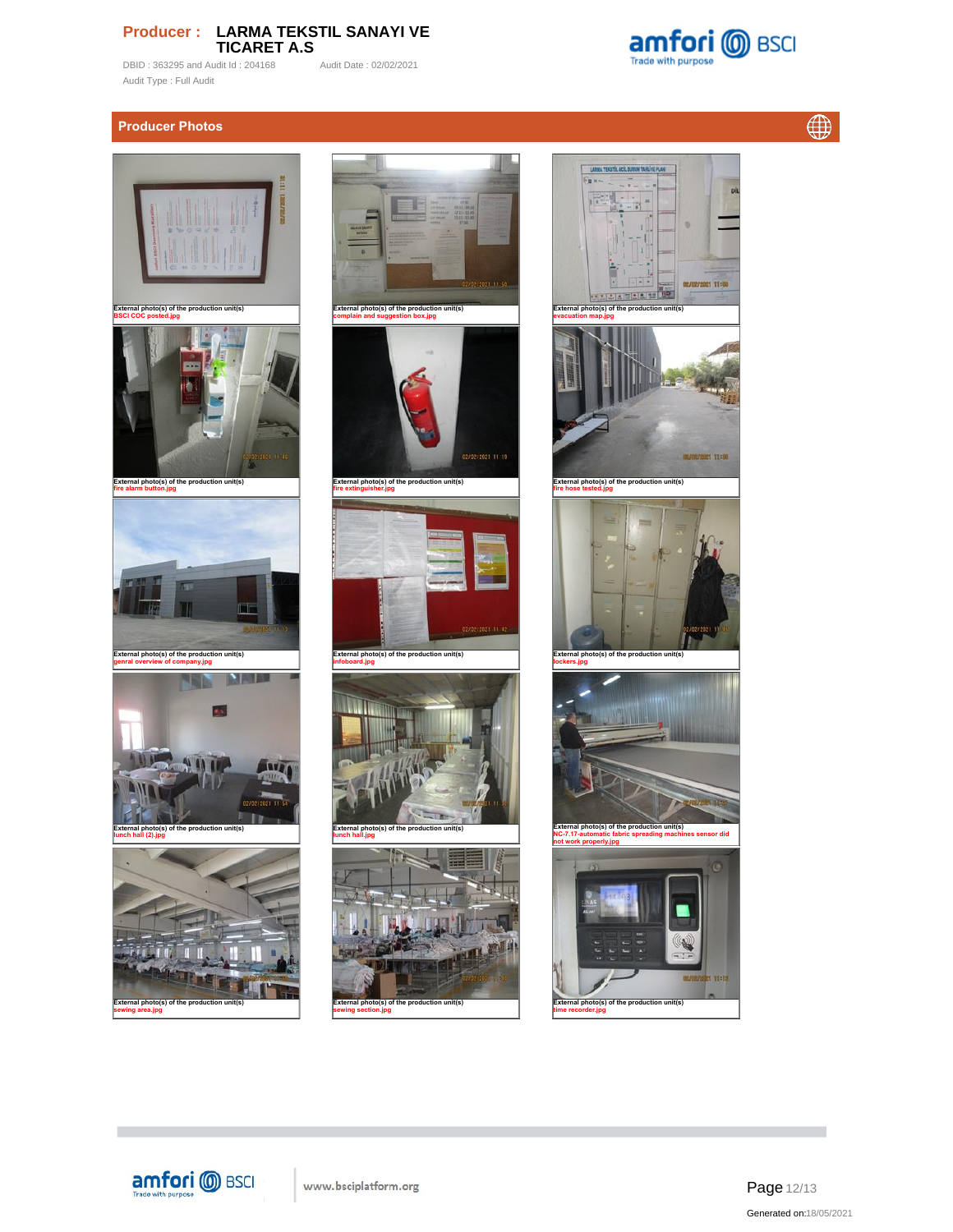DBID : 363295 and Audit Id : 204168 Audit Date : 02/02/2021 Audit Type : Full Audit

# **Producer Photos**







**External photo(s) of the production unit(s) sewing area.jpg**